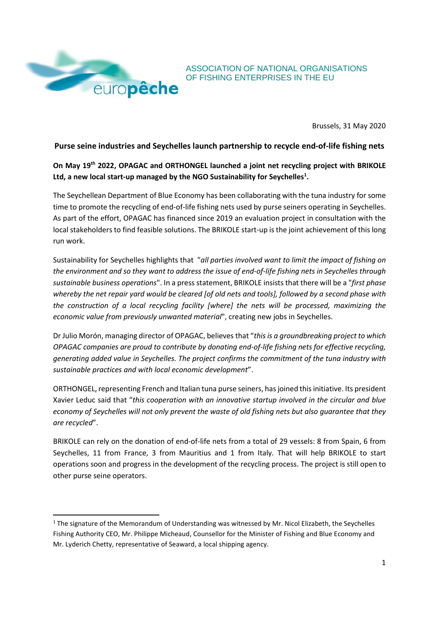

ASSOCIATION OF NATIONAL ORGANISATIONS OF FISHING ENTERPRISES IN THE EU

Brussels, 31 May 2020

## **Purse seine industries and Seychelles launch partnership to recycle end-of-life fishing nets**

## **On May 19th 2022, OPAGAC and ORTHONGEL launched a joint net recycling project with BRIKOLE Ltd, a new local start-up managed by the NGO Sustainability for Seychelles<sup>1</sup> .**

The Seychellean Department of Blue Economy has been collaborating with the tuna industry for some time to promote the recycling of end-of-life fishing nets used by purse seiners operating in Seychelles. As part of the effort, OPAGAC has financed since 2019 an evaluation project in consultation with the local stakeholders to find feasible solutions. The BRIKOLE start-up is the joint achievement of this long run work.

Sustainability for Seychelles highlights that "*all parties involved want to limit the impact of fishing on the environment and so they want to address the issue of end-of-life fishing nets in Seychelles through sustainable business operations*". In a press statement, BRIKOLE insists that there will be a "*first phase whereby the net repair yard would be cleared [of old nets and tools], followed by a second phase with the construction of a local recycling facility [where] the nets will be processed, maximizing the economic value from previously unwanted material*", creating new jobs in Seychelles.

Dr Julio Morón, managing director of OPAGAC, believes that "*thisis a groundbreaking project to which OPAGAC companies are proud to contribute by donating end-of-life fishing nets for effective recycling, generating added value in Seychelles. The project confirms the commitment of the tuna industry with sustainable practices and with local economic development*".

ORTHONGEL, representing French and Italian tuna purse seiners, hasjoined this initiative. Its president Xavier Leduc said that "*this cooperation with an innovative startup involved in the circular and blue economy of Seychelles will not only prevent the waste of old fishing nets but also guarantee that they are recycled*".

BRIKOLE can rely on the donation of end-of-life nets from a total of 29 vessels: 8 from Spain, 6 from Seychelles, 11 from France, 3 from Mauritius and 1 from Italy. That will help BRIKOLE to start operations soon and progress in the development of the recycling process. The project is still open to other purse seine operators.

 $1$  The signature of the Memorandum of Understanding was witnessed by Mr. Nicol Elizabeth, the Seychelles Fishing Authority CEO, Mr. Philippe Micheaud, Counsellor for the Minister of Fishing and Blue Economy and Mr. Lyderich Chetty, representative of Seaward, a local shipping agency.